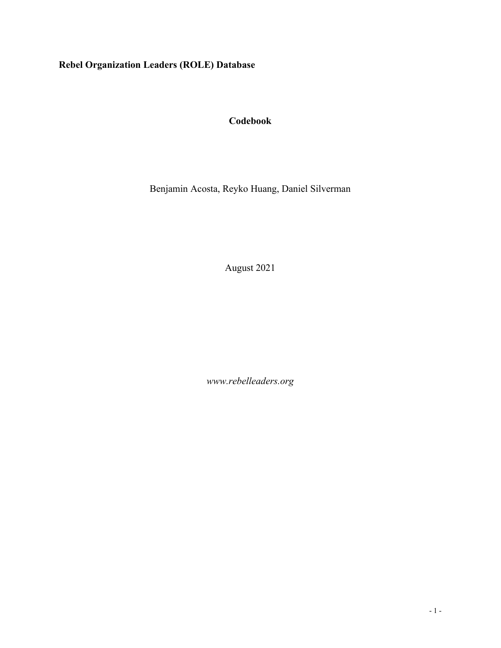# **Rebel Organization Leaders (ROLE) Database**

## **Codebook**

Benjamin Acosta, Reyko Huang, Daniel Silverman

August 2021

*www.rebelleaders.org*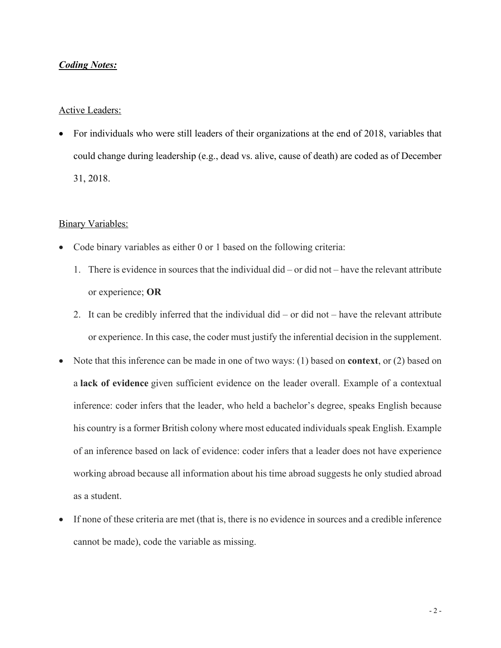#### *Coding Notes:*

#### Active Leaders:

• For individuals who were still leaders of their organizations at the end of 2018, variables that could change during leadership (e.g., dead vs. alive, cause of death) are coded as of December 31, 2018.

#### **Binary Variables:**

- Code binary variables as either 0 or 1 based on the following criteria:
	- 1. There is evidence in sources that the individual did or did not have the relevant attribute or experience; **OR**
	- 2. It can be credibly inferred that the individual did or did not have the relevant attribute or experience. In this case, the coder must justify the inferential decision in the supplement.
- Note that this inference can be made in one of two ways: (1) based on **context**, or (2) based on a **lack of evidence** given sufficient evidence on the leader overall. Example of a contextual inference: coder infers that the leader, who held a bachelor's degree, speaks English because his country is a former British colony where most educated individuals speak English. Example of an inference based on lack of evidence: coder infers that a leader does not have experience working abroad because all information about his time abroad suggests he only studied abroad as a student.
- If none of these criteria are met (that is, there is no evidence in sources and a credible inference cannot be made), code the variable as missing.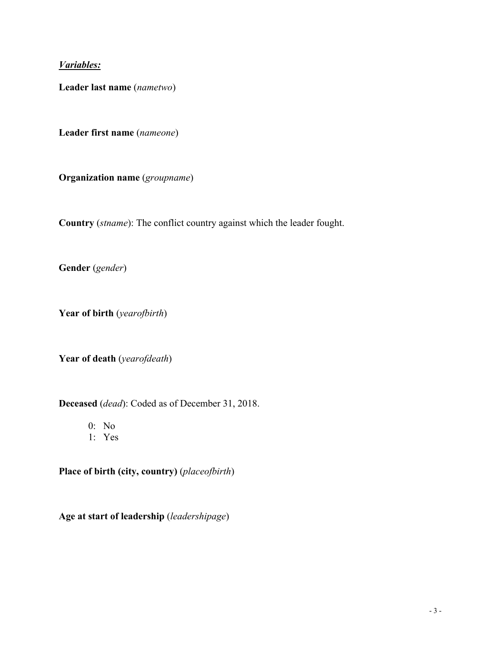## *Variables:*

**Leader last name** (*nametwo*)

**Leader first name** (*nameone*)

**Organization name** (*groupname*)

**Country** (*stname*): The conflict country against which the leader fought.

**Gender** (*gender*)

**Year of birth** (*yearofbirth*)

**Year of death** (*yearofdeath*)

**Deceased** (*dead*): Coded as of December 31, 2018.

0: No

1: Yes

**Place of birth (city, country)** (*placeofbirth*)

**Age at start of leadership** (*leadershipage*)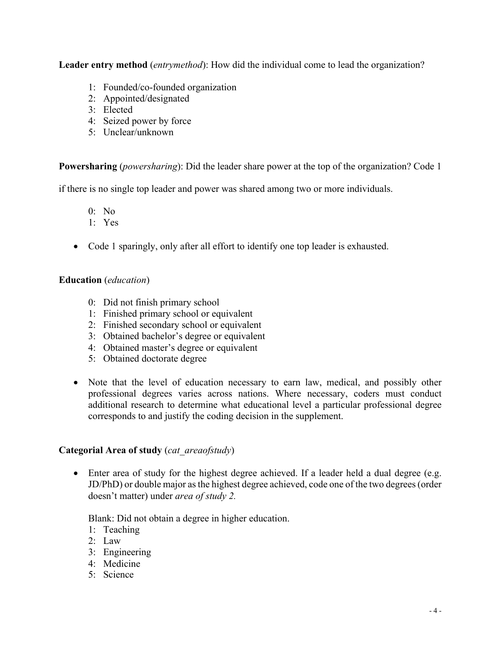**Leader entry method** (*entrymethod*): How did the individual come to lead the organization?

- 1: Founded/co-founded organization
- 2: Appointed/designated
- 3: Elected
- 4: Seized power by force
- 5: Unclear/unknown

**Powersharing** (*powersharing*): Did the leader share power at the top of the organization? Code 1

if there is no single top leader and power was shared among two or more individuals.

- 0: No
- 1: Yes
- Code 1 sparingly, only after all effort to identify one top leader is exhausted.

### **Education** (*education*)

- 0: Did not finish primary school
- 1: Finished primary school or equivalent
- 2: Finished secondary school or equivalent
- 3: Obtained bachelor's degree or equivalent
- 4: Obtained master's degree or equivalent
- 5: Obtained doctorate degree
- Note that the level of education necessary to earn law, medical, and possibly other professional degrees varies across nations. Where necessary, coders must conduct additional research to determine what educational level a particular professional degree corresponds to and justify the coding decision in the supplement.

#### **Categorial Area of study** (*cat\_areaofstudy*)

• Enter area of study for the highest degree achieved. If a leader held a dual degree (e.g. JD/PhD) or double major as the highest degree achieved, code one of the two degrees (order doesn't matter) under *area of study 2.*

Blank: Did not obtain a degree in higher education.

- 1: Teaching
- 2: Law
- 3: Engineering
- 4: Medicine
- 5: Science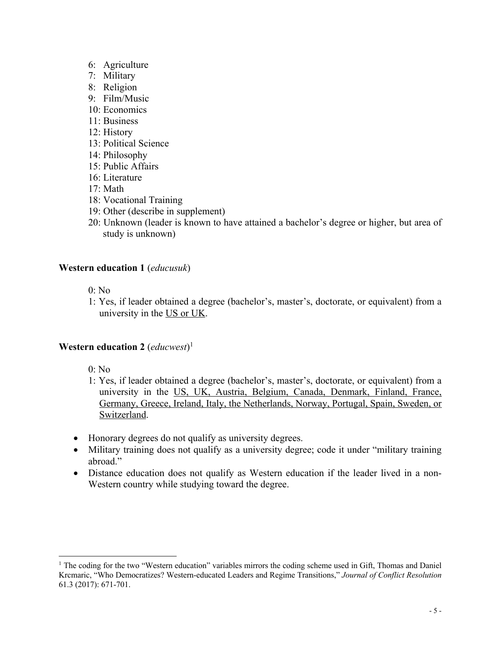- 6: Agriculture
- 7: Military
- 8: Religion
- 9: Film/Music
- 10: Economics
- 11: Business
- 12: History
- 13: Political Science
- 14: Philosophy
- 15: Public Affairs
- 16: Literature
- 17: Math
- 18: Vocational Training
- 19: Other (describe in supplement)
- 20: Unknown (leader is known to have attained a bachelor's degree or higher, but area of study is unknown)

#### **Western education 1** (*educusuk*)

0: No

1: Yes, if leader obtained a degree (bachelor's, master's, doctorate, or equivalent) from a university in the US or UK.

#### **Western education 2** (*educwest*) 1

- 0: No
- 1: Yes, if leader obtained a degree (bachelor's, master's, doctorate, or equivalent) from a university in the US, UK, Austria, Belgium, Canada, Denmark, Finland, France, Germany, Greece, Ireland, Italy, the Netherlands, Norway, Portugal, Spain, Sweden, or Switzerland.
- Honorary degrees do not qualify as university degrees.
- Military training does not qualify as a university degree; code it under "military training" abroad."
- Distance education does not qualify as Western education if the leader lived in a non-Western country while studying toward the degree.

<sup>&</sup>lt;sup>1</sup> The coding for the two "Western education" variables mirrors the coding scheme used in Gift, Thomas and Daniel Krcmaric, "Who Democratizes? Western-educated Leaders and Regime Transitions," *Journal of Conflict Resolution* 61.3 (2017): 671-701.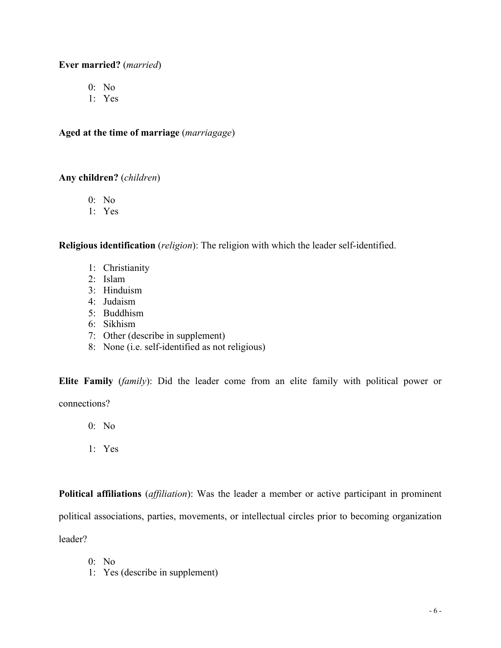### **Ever married?** (*married*)

- 0: No
- 1: Yes

**Aged at the time of marriage** (*marriagage*)

### **Any children?** (*children*)

- 0: No
- 1: Yes

**Religious identification** (*religion*): The religion with which the leader self-identified.

- 1: Christianity
- 2: Islam
- 3: Hinduism
- 4: Judaism
- 5: Buddhism
- 6: Sikhism
- 7: Other (describe in supplement)
- 8: None (i.e. self-identified as not religious)

**Elite Family** (*family*): Did the leader come from an elite family with political power or connections?

0: No

1: Yes

**Political affiliations** (*affiliation*): Was the leader a member or active participant in prominent political associations, parties, movements, or intellectual circles prior to becoming organization leader?

- 0: No
- 1: Yes (describe in supplement)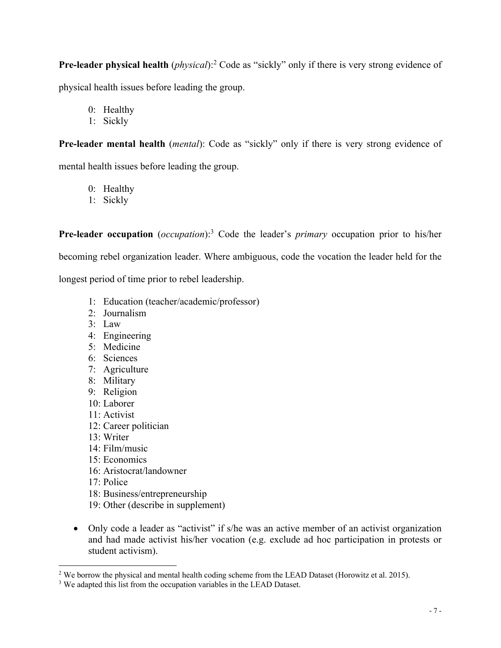**Pre-leader physical health** (*physical*):2 Code as "sickly" only if there is very strong evidence of physical health issues before leading the group.

- 0: Healthy
- 1: Sickly

**Pre-leader mental health** (*mental*): Code as "sickly" only if there is very strong evidence of mental health issues before leading the group.

- 0: Healthy
- 1: Sickly

**Pre-leader occupation** (*occupation*):3 Code the leader's *primary* occupation prior to his/her becoming rebel organization leader. Where ambiguous, code the vocation the leader held for the longest period of time prior to rebel leadership.

- 1: Education (teacher/academic/professor)
- 2: Journalism
- 3: Law
- 4: Engineering
- 5: Medicine
- 6: Sciences
- 7: Agriculture
- 8: Military
- 9: Religion
- 10: Laborer
- 11: Activist
- 12: Career politician
- 13: Writer
- 14: Film/music
- 15: Economics
- 16: Aristocrat/landowner
- 17: Police
- 18: Business/entrepreneurship
- 19: Other (describe in supplement)
- Only code a leader as "activist" if s/he was an active member of an activist organization and had made activist his/her vocation (e.g. exclude ad hoc participation in protests or student activism).

<sup>&</sup>lt;sup>2</sup> We borrow the physical and mental health coding scheme from the LEAD Dataset (Horowitz et al. 2015).

<sup>&</sup>lt;sup>3</sup> We adapted this list from the occupation variables in the LEAD Dataset.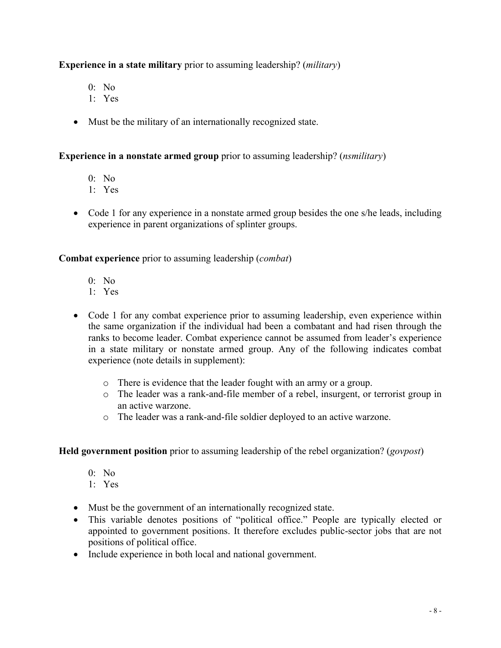## **Experience in a state military** prior to assuming leadership? (*military*)

- 0: No
- 1: Yes
- Must be the military of an internationally recognized state.

## **Experience in a nonstate armed group** prior to assuming leadership? (*nsmilitary*)

- 0: No
- 1: Yes
- Code 1 for any experience in a nonstate armed group besides the one s/he leads, including experience in parent organizations of splinter groups.

**Combat experience** prior to assuming leadership (*combat*)

- 0: No
- 1: Yes
- Code 1 for any combat experience prior to assuming leadership, even experience within the same organization if the individual had been a combatant and had risen through the ranks to become leader. Combat experience cannot be assumed from leader's experience in a state military or nonstate armed group. Any of the following indicates combat experience (note details in supplement):
	- o There is evidence that the leader fought with an army or a group.
	- o The leader was a rank-and-file member of a rebel, insurgent, or terrorist group in an active warzone.
	- o The leader was a rank-and-file soldier deployed to an active warzone.

## **Held government position** prior to assuming leadership of the rebel organization? (*govpost*)

- 0: No
- 1: Yes
- Must be the government of an internationally recognized state.
- This variable denotes positions of "political office." People are typically elected or appointed to government positions. It therefore excludes public-sector jobs that are not positions of political office.
- Include experience in both local and national government.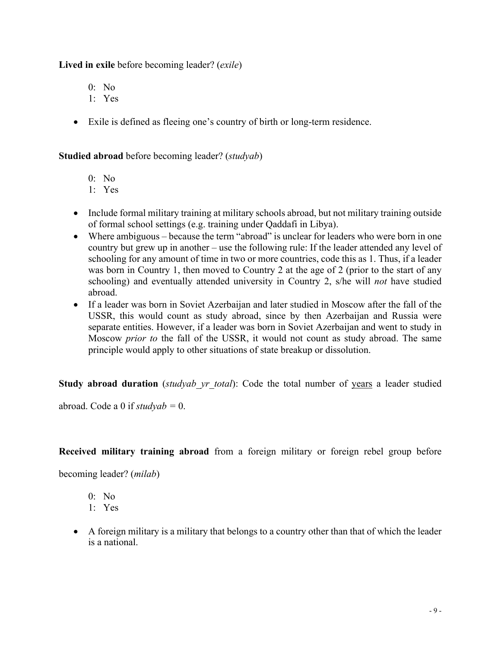**Lived in exile** before becoming leader? (*exile*)

0: No

- 1: Yes
- Exile is defined as fleeing one's country of birth or long-term residence.

**Studied abroad** before becoming leader? (*studyab*)

0: No

- 1: Yes
- Include formal military training at military schools abroad, but not military training outside of formal school settings (e.g. training under Qaddafi in Libya).
- Where ambiguous because the term "abroad" is unclear for leaders who were born in one country but grew up in another – use the following rule: If the leader attended any level of schooling for any amount of time in two or more countries, code this as 1. Thus, if a leader was born in Country 1, then moved to Country 2 at the age of 2 (prior to the start of any schooling) and eventually attended university in Country 2, s/he will *not* have studied abroad.
- If a leader was born in Soviet Azerbaijan and later studied in Moscow after the fall of the USSR, this would count as study abroad, since by then Azerbaijan and Russia were separate entities. However, if a leader was born in Soviet Azerbaijan and went to study in Moscow *prior to* the fall of the USSR, it would not count as study abroad. The same principle would apply to other situations of state breakup or dissolution.

**Study abroad duration** (*studyab\_yr\_total*): Code the total number of years a leader studied

abroad. Code a 0 if *studyab =* 0.

**Received military training abroad** from a foreign military or foreign rebel group before

becoming leader? (*milab*)

- 0: No
- 1: Yes
- A foreign military is a military that belongs to a country other than that of which the leader is a national.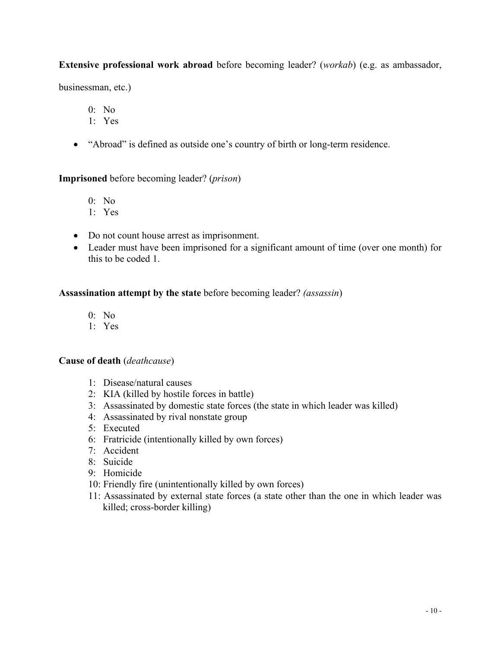### **Extensive professional work abroad** before becoming leader? (*workab*) (e.g. as ambassador,

businessman, etc.)

0: No

- 1: Yes
- "Abroad" is defined as outside one's country of birth or long-term residence.

**Imprisoned** before becoming leader? (*prison*)

- 0: No
- 1: Yes
- Do not count house arrest as imprisonment.
- Leader must have been imprisoned for a significant amount of time (over one month) for this to be coded 1.

#### **Assassination attempt by the state** before becoming leader? *(assassin*)

- 0: No
- 1: Yes

#### **Cause of death** (*deathcause*)

- 1: Disease/natural causes
- 2: KIA (killed by hostile forces in battle)
- 3: Assassinated by domestic state forces (the state in which leader was killed)
- 4: Assassinated by rival nonstate group
- 5: Executed
- 6: Fratricide (intentionally killed by own forces)
- 7: Accident
- 8: Suicide
- 9: Homicide
- 10: Friendly fire (unintentionally killed by own forces)
- 11: Assassinated by external state forces (a state other than the one in which leader was killed; cross-border killing)